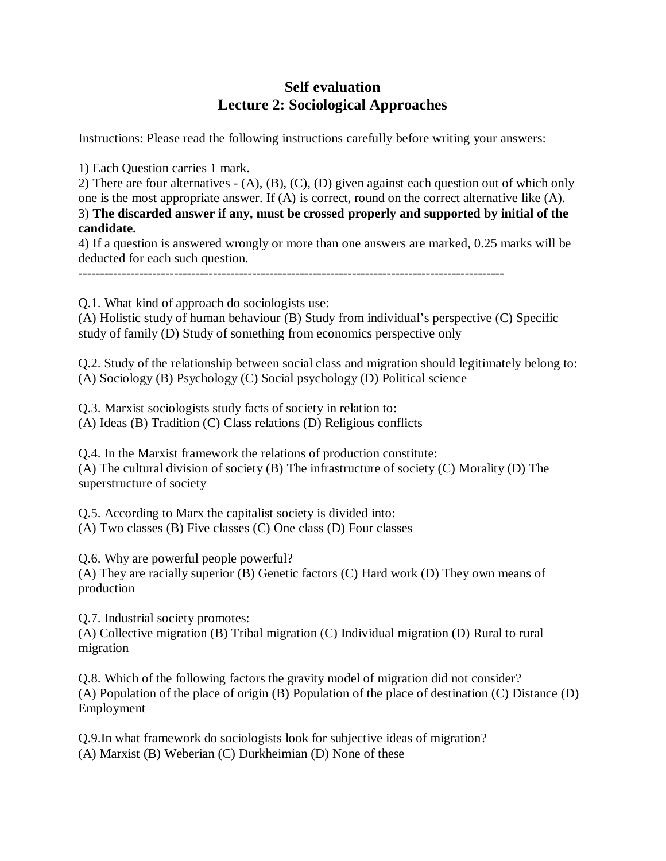## **Self evaluation Lecture 2: Sociological Approaches**

Instructions: Please read the following instructions carefully before writing your answers:

1) Each Question carries 1 mark.

2) There are four alternatives - (A), (B), (C), (D) given against each question out of which only one is the most appropriate answer. If (A) is correct, round on the correct alternative like (A). 3) **The discarded answer if any, must be crossed properly and supported by initial of the candidate.**

4) If a question is answered wrongly or more than one answers are marked, 0.25 marks will be deducted for each such question.

Q.1. What kind of approach do sociologists use:

(A) Holistic study of human behaviour (B) Study from individual's perspective (C) Specific study of family (D) Study of something from economics perspective only

Q.2. Study of the relationship between social class and migration should legitimately belong to: (A) Sociology (B) Psychology (C) Social psychology (D) Political science

Q.3. Marxist sociologists study facts of society in relation to: (A) Ideas (B) Tradition (C) Class relations (D) Religious conflicts

Q.4. In the Marxist framework the relations of production constitute: (A) The cultural division of society (B) The infrastructure of society (C) Morality (D) The superstructure of society

Q.5. According to Marx the capitalist society is divided into: (A) Two classes (B) Five classes (C) One class (D) Four classes

Q.6. Why are powerful people powerful?

(A) They are racially superior (B) Genetic factors (C) Hard work (D) They own means of production

Q.7. Industrial society promotes: (A) Collective migration (B) Tribal migration (C) Individual migration (D) Rural to rural migration

Q.8. Which of the following factors the gravity model of migration did not consider? (A) Population of the place of origin (B) Population of the place of destination (C) Distance (D) Employment

Q.9.In what framework do sociologists look for subjective ideas of migration? (A) Marxist (B) Weberian (C) Durkheimian (D) None of these